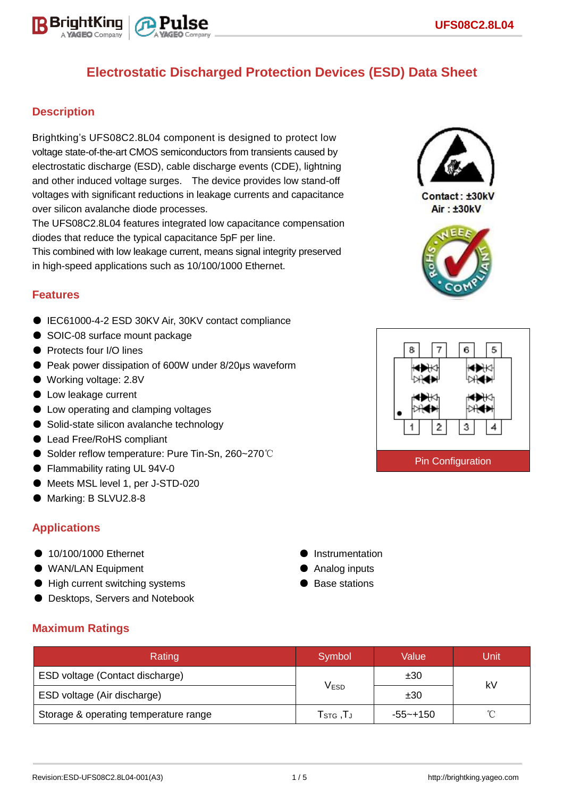

## **Description**

Brightking's UFS08C2.8L04 component is designed to protect low voltage state-of-the-art CMOS semiconductors from transients caused by electrostatic discharge (ESD), cable discharge events (CDE), lightning and other induced voltage surges. The device provides low stand-off voltages with significant reductions in leakage currents and capacitance over silicon avalanche diode processes.

The UFS08C2.8L04 features integrated low capacitance compensation diodes that reduce the typical capacitance 5pF per line.

This combined with low leakage current, means signal integrity preserved in high-speed applications such as 10/100/1000 Ethernet.

## **Features**

- IEC61000-4-2 ESD 30KV Air, 30KV contact compliance
- SOIC-08 surface mount package
- Protects four I/O lines
- Peak power dissipation of 600W under 8/20μs waveform
- Working voltage: 2.8V
- Low leakage current
- Low operating and clamping voltages
- Solid-state silicon avalanche technology
- Lead Free/RoHS compliant
- Solder reflow temperature: Pure Tin-Sn, 260~270℃
- Flammability rating UL 94V-0
- Meets MSL level 1, per J-STD-020
- Marking: B SLVU2.8-8

## **Applications**

- 10/100/1000 Ethernet
- WAN/LAN Equipment
- High current switching systems
- **Desktops, Servers and Notebook**
- **•** Instrumentation ● Analog inputs
- Base stations

| <b>Maximum Ratings</b> |  |
|------------------------|--|
|                        |  |

| Rating                                | Symbol                                                  | Value    | Unit |  |
|---------------------------------------|---------------------------------------------------------|----------|------|--|
| ESD voltage (Contact discharge)       |                                                         | ±30      |      |  |
| ESD voltage (Air discharge)           | V <sub>ESD</sub>                                        | ±30      | kV   |  |
| Storage & operating temperature range | $\mathsf{T}_{\texttt{STG}}$ , $\mathsf{T}_{\texttt{J}}$ | -55~+150 |      |  |



**Air: ±30kV** 



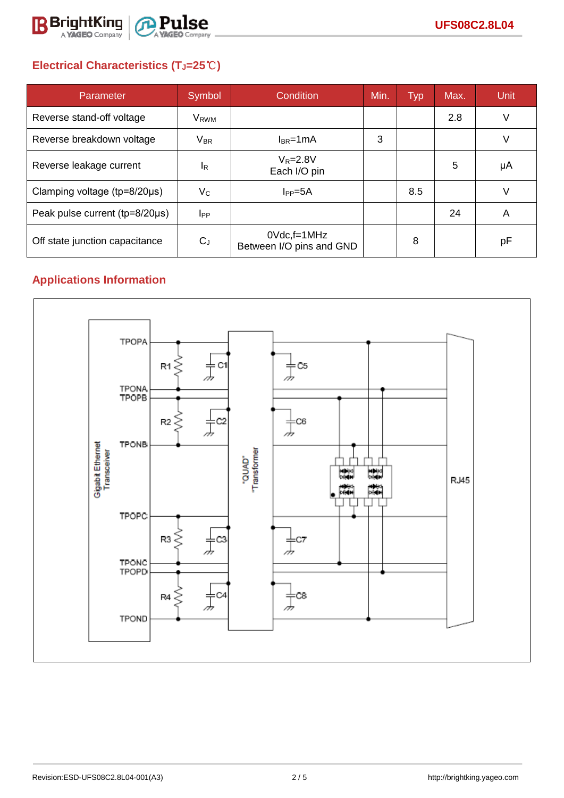

# **Electrical Characteristics (TJ=25**℃**)**

| Parameter                              | Symbol           | <b>Condition</b>                               | Min. | Typ | Max. | Unit |
|----------------------------------------|------------------|------------------------------------------------|------|-----|------|------|
| Reverse stand-off voltage              | V <sub>RWM</sub> |                                                |      |     | 2.8  | V    |
| Reverse breakdown voltage              | $V_{BR}$         | $I_{BR}$ =1mA                                  | 3    |     |      | V    |
| Reverse leakage current                | <sup>I</sup> R   | $V_R = 2.8V$<br>Each I/O pin                   |      |     | 5    | μA   |
| Clamping voltage ( $tp = 8/20 \mu s$ ) | $V_C$            | $I_{PP} = 5A$                                  |      | 8.5 |      |      |
| Peak pulse current (tp=8/20µs)         | <b>I</b> PP      |                                                |      |     | 24   | A    |
| Off state junction capacitance         | $C_J$            | $0Vdc$ , f=1 $MHz$<br>Between I/O pins and GND |      | 8   |      | рF   |

# **Applications Information**

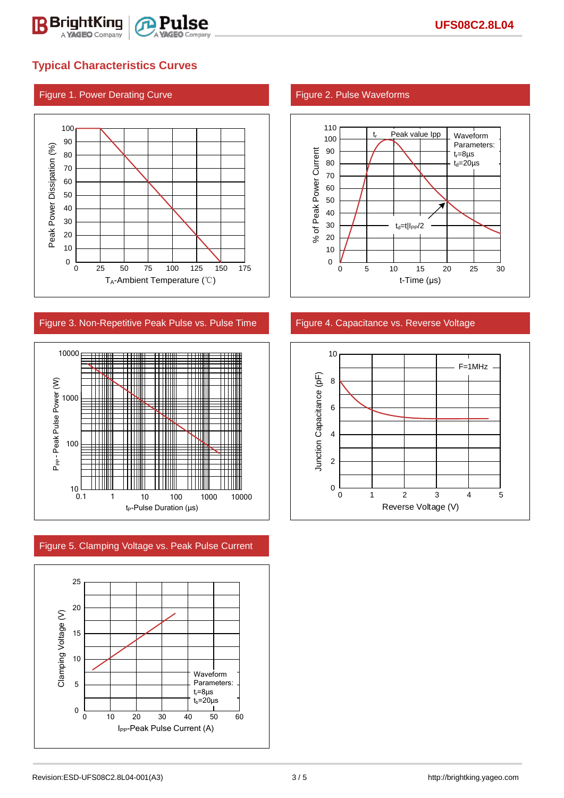



### Figure 3. Non-Repetitive Peak Pulse vs. Pulse Time Figure 4. Capacitance vs. Reverse Voltage



Figure 5. Clamping Voltage vs. Peak Pulse Current



### Figure 1. Power Derating Curve Figure 2. Pulse Waveforms



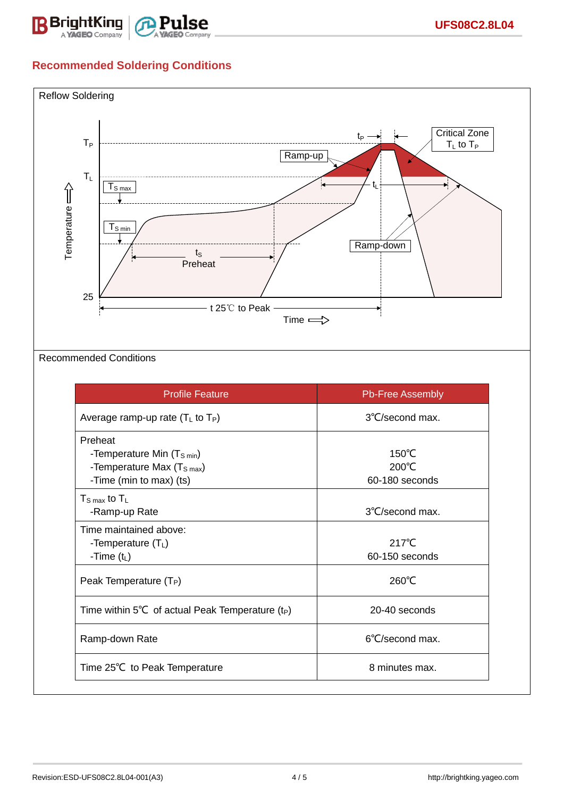

## **Recommended Soldering Conditions**